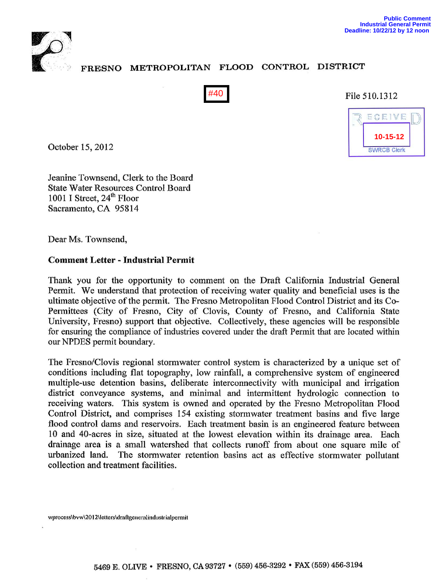

## FRESNO METROPOLITAN FLOOD CONTROL DISTRICT



File 510.1312



October 15,2012

Jeanine Townsend, Clerk to the Board State Water Resources Control Board 1001 I Street, 24<sup>th</sup> Floor Sacramento, CA 95814

Dear Ms. Townsend,

## Comment Letter - Industrial Permit

Thank you for the opportunity to comment on the Draft California Industrial General Permit. We understand that protection of receiving water quality and beneficial uses is the ultimate objective ofthe permit. The Fresno Metropolitan Flood Control District and its Co-Permittees (City of Fresno, City of Clovis, County of Fresno, and California State University, Fresno) support that objective. Collectively, these agencies will be responsible for ensuring the compliance of industries covered under the draft Permit that are located within our NPDES permit boundary.

The Fresno/Clovis regional stormwater control system is characterized by a unique set of conditions including flat topography, low rainfall, a comprehensive system of engineered multiple-use detention basins, deliberate interconnectivity with municipal and irrigation district conveyance systems, and minimal and intermittent hydrologic connection to receiving waters. This system is owned and operated by the Fresno Metropolitan Flood Control District, and comprises 154 existing storm water treatment basins and five large flood control dams and reservoirs. Each treatment basin is an engineered feature between 10 and 40-acres in size, situated at the lowest elevation within its drainage area. Each drainage area is a small watershed that collects runoff from about one square mile of urbanized land. The stormwater retention basins act as effective stormwater pollutant collection and treatment facilities. **F40** File :<br> **EXECUTE:**<br> **EXECUTE:**<br> **EXECUTE:**<br> **EXECUTE:**<br> **EXECUTE:**<br> **EXECUTE:**<br> **EXECUTE:**<br> **EXECUTE:**<br> **EXECUTE:**<br> **EXECUTE:**<br> **EXECUTE:**<br> **EXECUTE:**<br> **EXECUTE:**<br> **EXECUTE:**<br> **EXECUTE:**<br> **EXECUTE:**<br> **EXECUTE:**<br> **EX** 

wprocess\bvw\2012\letters\draftgeneralindustrialpermit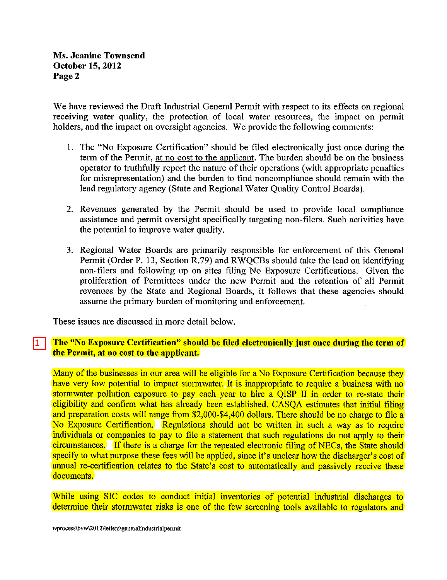We have reviewed the Draft Industrial General Permit with respect to its effects on regional receiving water quality, the protection of local water resources, the impact on permit holders, and the impact on oversight agencies. We provide the following comments:

- I. The "No Exposure Certification" should be filed electronically just once during the term of the Permit, at no cost to the applicant. The burden should be on the business operator to truthfully report the nature of their operations (with appropriate penalties for misrepresentation) and the burden to find noncompliance should remain with the lead regulatory agency (State and Regional Water Quality Control Boards).
- 2. Revenues generated by the Permit should be used to provide local compliance assistance and permit oversight specifically targeting non-filers. Such activities have the potential to improve water quality.
- 3. Regional Water Boards are primarily responsible for enforcement of this General Permit (Order P. 13, Section R.79) and RWQCBs should take the lead on identifying non-filers and following up on sites filing No Exposure Certifications. Given the proliferation of Permittees under the new Permit and the retention of all Permit revenues by the State and Regional Boards, it follows that these agencies should assume the primary burden of monitoring and enforcement.

These issues are discussed in more detail below.

1

## The "No Exposure Certification" should be filed electronically just once during the term of the Permit, at no cost to the applicant.

Many of the businesses in our area will be eligible for a No Exposure Certification because they have very low potential to impact stormwater. It is inappropriate to require a business with no stormwater pollution exposure to pay each year to hire a QISP II in order to re-state their eligibility and confirm what has already been established. CASQA estimates that initial filing and preparation costs will range from \$2,000-\$4,400 dollars. There should be no charge to file a No Exposure Certification. Regulations should not be written in such a way as to require individuals or companies to pay to file a statement that such regulations do not apply to their circumstances. If there is a charge for the repeated electronic filing of NECs, the State should specify to what purpose these fees will be applied, since it's unclear how the discharger's cost of annual re-certification relates to the State's cost to automatically and passively receive these documents.

While using SIC codes to conduct initial inventories of potential industrial discharges to determine their stormwater risks is one of the few screening tools available to regulators and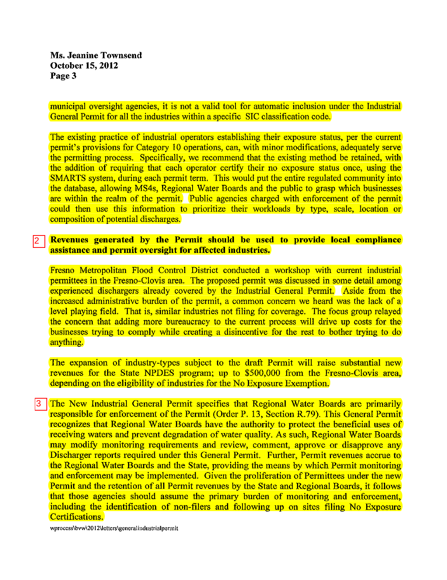Ms. Jeanine Townsend October 15, 2012 Page 3

municipal oversight agencies, it is not a valid tool for automatic inclusion under the Industrial General Permit for all the industries within a specific SIC classification code.

The existing practice of industrial operators establishing their exposure status, per the current permit's provisions for Category 10 operations, can, with minor modifications, adequately serve the permitting process. Specifically, we recommend that the existing method be retained, with the addition of requiring that each operator certify their no exposure status once, using the SMARTS system, during each permit term. This would put the entire regulated community into the database, allowing MS4s, Regional Water Boards and the public to grasp which businesses are within the realm of the permit. Public agencies charged with enforcement of the permit could then use this information to prioritize their workloads by type, scale, location or composition of potential discharges.

## Revenues generated by the Permit should be used to provide local compliance assistance and permit oversight for affected industries. 2

Fresno Metropolitan Flood Control District conducted a workshop with current industrial permittees in the Fresno-Clovis area. The proposed permit was discussed in some detail among experienced dischargers already covered by the Industrial General Permit. Aside from the increased administrative burden of the permit, a common concern we heard was the lack of a level playing field. That is, similar industries not filing for coverage. The focus group relayed the concern that adding more bureaucracy to the current process will drive up costs for the businesses trying to comply while creating a disincentive for the rest to bother trying to do anything.

The expansion of industry-types subject to the draft Permit will raise substantial new revenues for the State NPDES program; up to \$500,000 from the Fresno-Clovis area, depending on the eligibility of industries for the No Exposure Exemption.

The New Industrial General Permit specifies that Regional Water Boards are primarily responsible for enforcement of the Permit (Order P. 13, Section R.79). This General Permit recognizes that Regional Water Boards have the authority to protect the beneficial uses of receiving waters and prevent degradation of water quality. As such, Regional Water Boards may modify monitoring requirements and review, comment, approve or disapprove any Discharger reports required under this General Permit. Further, Permit revenues accrue to the Regional Water Boards and the State, providing the means by which Permit monitoring and enforcement may be implemented. Given the proliferation of Permittees under the new Permit and the retention of all Permit revenues by the State and Regional Boards, it follows that those agencies should assume the primary burden of monitoring and enforcement, including the identification of non-filers and following up on sites filing No Exposure Certifications. 3

wprocess\bvw\2012\letters\generalindustrialpermit